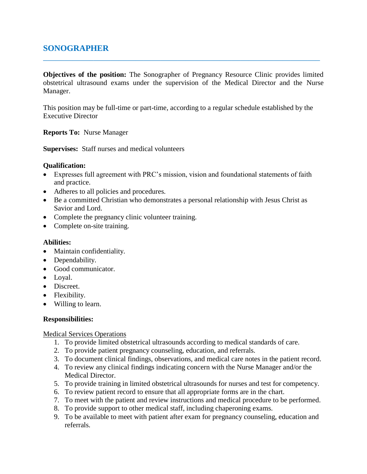# **SONOGRAPHER**

**Objectives of the position:** The Sonographer of Pregnancy Resource Clinic provides limited obstetrical ultrasound exams under the supervision of the Medical Director and the Nurse Manager.

**\_\_\_\_\_\_\_\_\_\_\_\_\_\_\_\_\_\_\_\_\_\_\_\_\_\_\_\_\_\_\_\_\_\_\_\_\_\_\_\_\_\_\_\_\_\_\_\_\_\_\_\_\_\_\_\_\_\_\_\_\_\_\_\_\_\_**

This position may be full-time or part-time, according to a regular schedule established by the Executive Director

**Reports To:** Nurse Manager

**Supervises:** Staff nurses and medical volunteers

## **Qualification:**

- Expresses full agreement with PRC's mission, vision and foundational statements of faith and practice.
- Adheres to all policies and procedures.
- Be a committed Christian who demonstrates a personal relationship with Jesus Christ as Savior and Lord.
- Complete the pregnancy clinic volunteer training.
- Complete on-site training.

#### **Abilities:**

- Maintain confidentiality.
- Dependability.
- Good communicator.
- Loyal.
- Discreet.
- Flexibility.
- Willing to learn.

#### **Responsibilities:**

#### Medical Services Operations

- 1. To provide limited obstetrical ultrasounds according to medical standards of care.
- 2. To provide patient pregnancy counseling, education, and referrals.
- 3. To document clinical findings, observations, and medical care notes in the patient record.
- 4. To review any clinical findings indicating concern with the Nurse Manager and/or the Medical Director.
- 5. To provide training in limited obstetrical ultrasounds for nurses and test for competency.
- 6. To review patient record to ensure that all appropriate forms are in the chart.
- 7. To meet with the patient and review instructions and medical procedure to be performed.
- 8. To provide support to other medical staff, including chaperoning exams.
- 9. To be available to meet with patient after exam for pregnancy counseling, education and referrals.